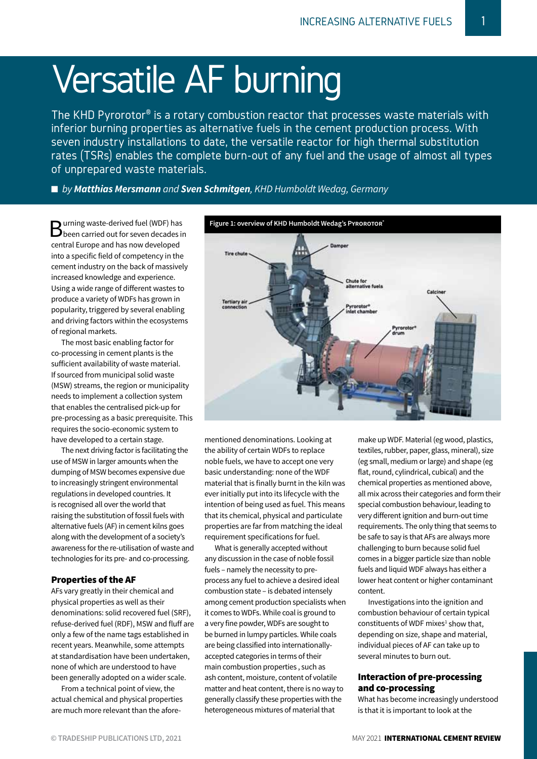# Versatile AF burning

The KHD Pyrorotor® is a rotary combustion reactor that processes waste materials with inferior burning properties as alternative fuels in the cement production process. With seven industry installations to date, the versatile reactor for high thermal substitution rates (TSRs) enables the complete burn-out of any fuel and the usage of almost all types of unprepared waste materials.

■ *by Matthias Mersmann and Sven Schmitgen, KHD Humboldt Wedag, Germany* 

**B**urning waste-derived fuel (WDF) has<br>
been carried out for seven decades in central Europe and has now developed into a specific field of competency in the cement industry on the back of massively increased knowledge and experience. Using a wide range of different wastes to produce a variety of WDFs has grown in popularity, triggered by several enabling and driving factors within the ecosystems of regional markets.

The most basic enabling factor for co-processing in cement plants is the sufficient availability of waste material. If sourced from municipal solid waste (MSW) streams, the region or municipality needs to implement a collection system that enables the centralised pick-up for pre-processing as a basic prerequisite. This requires the socio-economic system to have developed to a certain stage.

The next driving factor is facilitating the use of MSW in larger amounts when the dumping of MSW becomes expensive due to increasingly stringent environmental regulations in developed countries. It is recognised all over the world that raising the substitution of fossil fuels with alternative fuels (AF) in cement kilns goes along with the development of a society's awareness for the re-utilisation of waste and technologies for its pre- and co-processing.

## Properties of the AF

AFs vary greatly in their chemical and physical properties as well as their denominations: solid recovered fuel (SRF), refuse-derived fuel (RDF), MSW and fluff are only a few of the name tags established in recent years. Meanwhile, some attempts at standardisation have been undertaken, none of which are understood to have been generally adopted on a wider scale.

From a technical point of view, the actual chemical and physical properties are much more relevant than the afore-



mentioned denominations. Looking at the ability of certain WDFs to replace noble fuels, we have to accept one very basic understanding: none of the WDF material that is finally burnt in the kiln was ever initially put into its lifecycle with the intention of being used as fuel. This means that its chemical, physical and particulate properties are far from matching the ideal requirement specifications for fuel.

What is generally accepted without any discussion in the case of noble fossil fuels – namely the necessity to preprocess any fuel to achieve a desired ideal combustion state – is debated intensely among cement production specialists when it comes to WDFs. While coal is ground to a very fine powder, WDFs are sought to be burned in lumpy particles. While coals are being classified into internationallyaccepted categories in terms of their main combustion properties , such as ash content, moisture, content of volatile matter and heat content, there is no way to generally classify these properties with the heterogeneous mixtures of material that

make up WDF. Material (eg wood, plastics, textiles, rubber, paper, glass, mineral), size (eg small, medium or large) and shape (eg flat, round, cylindrical, cubical) and the chemical properties as mentioned above, all mix across their categories and form their special combustion behaviour, leading to very different ignition and burn-out time requirements. The only thing that seems to be safe to say is that AFs are always more challenging to burn because solid fuel comes in a bigger particle size than noble fuels and liquid WDF always has either a lower heat content or higher contaminant content.

Investigations into the ignition and combustion behaviour of certain typical constituents of WDF mixes $1$  show that, depending on size, shape and material, individual pieces of AF can take up to several minutes to burn out.

## Interaction of pre-processing and co-processing

What has become increasingly understood is that it is important to look at the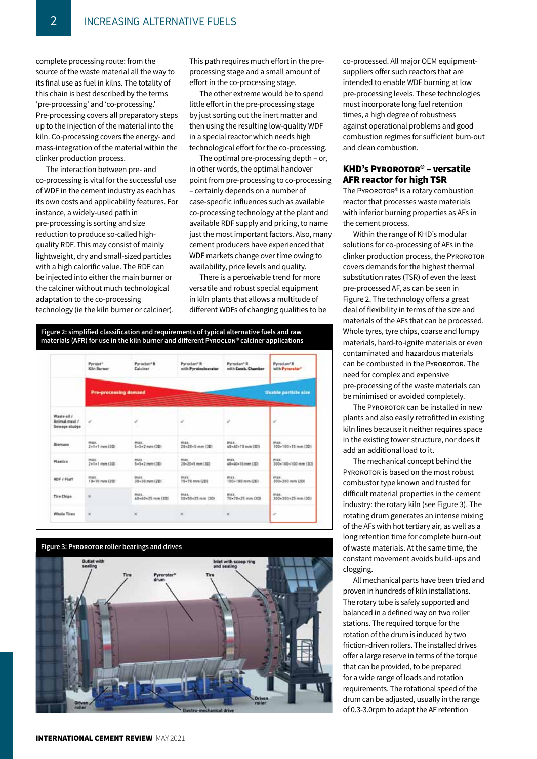complete processing route: from the source of the waste material all the way to its final use as fuel in kilns. The totality of this chain is best described by the terms 'pre-processing' and 'co-processing.' Pre-processing covers all preparatory steps up to the injection of the material into the kiln. Co-processing covers the energy- and mass-integration of the material within the clinker production process.

The interaction between pre- and co-processing is vital for the successful use of WDF in the cement industry as each has its own costs and applicability features. For instance, a widely-used path in pre-processing is sorting and size reduction to produce so-called highquality RDF. This may consist of mainly lightweight, dry and small-sized particles with a high calorific value. The RDF can be injected into either the main burner or the calciner without much technological adaptation to the co-processing technology (ie the kiln burner or calciner).

This path requires much effort in the preprocessing stage and a small amount of effort in the co-processing stage.

The other extreme would be to spend little effort in the pre-processing stage by just sorting out the inert matter and then using the resulting low-quality WDF in a special reactor which needs high technological effort for the co-processing.

The optimal pre-processing depth – or, in other words, the optimal handover point from pre-processing to co-processing – certainly depends on a number of case-specific influences such as available co-processing technology at the plant and available RDF supply and pricing, to name just the most important factors. Also, many cement producers have experienced that WDF markets change over time owing to availability, price levels and quality.

There is a perceivable trend for more versatile and robust special equipment in kiln plants that allows a multitude of different WDFs of changing qualities to be co-processed. All major OEM equipmentsuppliers offer such reactors that are intended to enable WDF burning at low pre-processing levels. These technologies must incorporate long fuel retention times, a high degree of robustness against operational problems and good combustion regimes for sufficient burn-out and clean combustion.

### KHD's PYROROTOR<sup>®</sup> – versatile AFR reactor for high TSR

The Pyrorotor® is a rotary combustion reactor that processes waste materials with inferior burning properties as AFs in the cement process.

Within the range of KHD's modular solutions for co-processing of AFs in the clinker production process, the PYROROTOR covers demands for the highest thermal substitution rates (TSR) of even the least pre-processed AF, as can be seen in Figure 2. The technology offers a great deal of flexibility in terms of the size and materials of the AFs that can be processed. Whole tyres, tyre chips, coarse and lumpy materials, hard-to-ignite materials or even contaminated and hazardous materials can be combusted in the PYROROTOR. The need for complex and expensive pre-processing of the waste materials can be minimised or avoided completely.

The PYROROTOR can be installed in new plants and also easily retrofitted in existing kiln lines because it neither requires space in the existing tower structure, nor does it add an additional load to it.

The mechanical concept behind the PYROROTOR is based on the most robust combustor type known and trusted for difficult material properties in the cement industry: the rotary kiln (see Figure 3). The rotating drum generates an intense mixing of the AFs with hot tertiary air, as well as a long retention time for complete burn-out of waste materials. At the same time, the constant movement avoids build-ups and clogging.

All mechanical parts have been tried and proven in hundreds of kiln installations. The rotary tube is safely supported and balanced in a defined way on two roller stations. The required torque for the rotation of the drum is induced by two friction-driven rollers. The installed drives offer a large reserve in terms of the torque that can be provided, to be prepared for a wide range of loads and rotation requirements. The rotational speed of the drum can be adjusted, usually in the range of 0.3-3.0rpm to adapt the AF retention



|                                               | Pyrojet*<br>Kilo Burner                              | Pyroclan*R<br>Calciner                      | Pyroclen <sup>*</sup> R<br>with Pyrainclnerator | Pyroclan <sup>®</sup> R<br>with Camb. Chamber           | Pyroclan <sup>+</sup> R<br>with Pyranatur* |
|-----------------------------------------------|------------------------------------------------------|---------------------------------------------|-------------------------------------------------|---------------------------------------------------------|--------------------------------------------|
| W.                                            | Unable particle size<br><b>Pre-processing demand</b> |                                             |                                                 |                                                         |                                            |
| Waste eit /<br>Animal meal /<br>Sewage studge | s                                                    |                                             | s.                                              |                                                         | $\omega$                                   |
| Biomasa                                       | <b>PRODUCTION</b><br>$2 + 1 + 1$ mm $(30)$           | 5+5+2 mm (30)                               | <b>MARA</b> Construction<br>20v20v5 mm (3D)     | max.<br>40+40+10 mm (3D)                                | max.<br>500+100+15 mm (3D)                 |
| Plastics                                      | max.<br>$2 - 1 - 1$ mm $(30)$                        | <b>MARK</b> CANNOT RENT<br>$S-S-2$ mm $CDI$ | max.<br>20x20x5 mm (320)                        | reality.<br>40+40+10 mm (30)                            | max.<br>300+100+100 mm (3D)                |
| <b>RDF / Flaff</b>                            | max.<br>10+10 mm (20)                                | <b>MAK</b><br>30+30 mm (2D)                 | max.<br>70+70 mm (2D)                           | max:<br>100+100 mm (20)                                 | max.<br>300+300 mm (20)                    |
| Tire Chips                                    | ×                                                    | max<br>40+40+25 mm (30)                     | max.<br><b>Contract</b><br>50+50+25 mm (30)     | max.<br><b>CALL CALL CONTRACTOR</b><br>70×70×25 mm (30) | max.<br>300+300+25 mm (3D)                 |
| Whole Tires                                   | u                                                    | W                                           | ×                                               | w                                                       | ù.                                         |